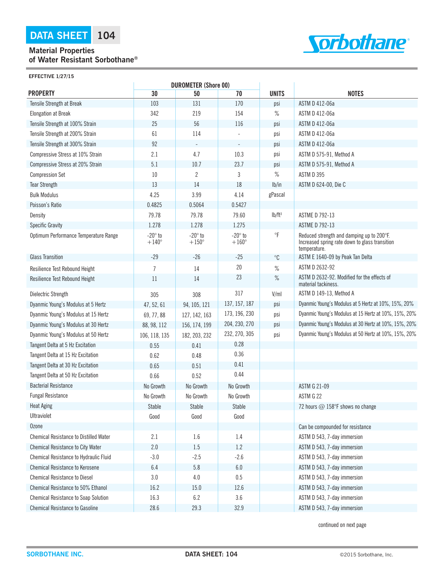## **Material Properties of Water Resistant Sorbothane®**



**EFFECTIVE 1/27/15**

|                                               |                                | <b>DUROMETER (Shore 00)</b>    |                                |                    |                                                                                                             |
|-----------------------------------------------|--------------------------------|--------------------------------|--------------------------------|--------------------|-------------------------------------------------------------------------------------------------------------|
| <b>PROPERTY</b>                               | 30                             | 50                             | 70                             | <b>UNITS</b>       | <b>NOTES</b>                                                                                                |
| Tensile Strength at Break                     | 103                            | 131                            | 170                            | psi                | ASTM D 412-06a                                                                                              |
| <b>Elongation at Break</b>                    | 342                            | 219                            | 154                            | $\%$               | ASTM D 412-06a                                                                                              |
| Tensile Strength at 100% Strain               | 25                             | 56                             | 116                            | psi                | ASTM D 412-06a                                                                                              |
| Tensile Strength at 200% Strain               | 61                             | 114                            |                                | psi                | ASTM D 412-06a                                                                                              |
| Tensile Strength at 300% Strain               | 92                             |                                |                                | psi                | ASTM D 412-06a                                                                                              |
| Compressive Stress at 10% Strain              | 2.1                            | 4.7                            | 10.3                           | psi                | ASTM D 575-91, Method A                                                                                     |
| Compressive Stress at 20% Strain              | 5.1                            | 10.7                           | 23.7                           | psi                | ASTM D 575-91, Method A                                                                                     |
| <b>Compression Set</b>                        | 10                             | $\overline{2}$                 | 3                              | $\%$               | ASTM D 395                                                                                                  |
| <b>Tear Strength</b>                          | 13                             | 14                             | 18                             | lb/in              | ASTM D 624-00, Die C                                                                                        |
| <b>Bulk Modulus</b>                           | 4.25                           | 3.99                           | 4.14                           | gPascal            |                                                                                                             |
| Poisson's Ratio                               | 0.4825                         | 0.5064                         | 0.5427                         |                    |                                                                                                             |
| Density                                       | 79.78                          | 79.78                          | 79.60                          | lb/ft <sup>3</sup> | <b>ASTME D 792-13</b>                                                                                       |
| <b>Specific Gravity</b>                       | 1.278                          | 1.278                          | 1.275                          |                    | <b>ASTME D 792-13</b>                                                                                       |
| Optimum Performance Temperature Range         | $-20^\circ$ to<br>$+140^\circ$ | $-20^\circ$ to<br>$+150^\circ$ | $-20^\circ$ to<br>$+160^\circ$ | $\circ$ F          | Reduced strength and damping up to 200°F.<br>Increased spring rate down to glass transition<br>temperature. |
| <b>Glass Transition</b>                       | $-29$                          | $-26$                          | $-25$                          | $^{\circ}C$        | ASTM E 1640-09 by Peak Tan Delta                                                                            |
| Resilience Test Rebound Height                | 7                              | 14                             | 20                             | $\%$               | ASTM D 2632-92                                                                                              |
| Resilience Test Rebound Height                | 11                             | 14                             | 23                             | $\%$               | ASTM D 2632-92. Modified for the effects of<br>material tackiness.                                          |
| Dielectric Strength                           | 305                            | 308                            | 317                            | V/ml               | ASTM D 149-13, Method A                                                                                     |
| Dyanmic Young's Modulus at 5 Hertz            | 47, 52, 61                     | 94, 105, 121                   | 137, 157, 187                  | psi                | Dyanmic Young's Modulus at 5 Hertz at 10%, 15%, 20%                                                         |
| Dyanmic Young's Modulus at 15 Hertz           | 69, 77, 88                     | 127, 142, 163                  | 173, 196, 230                  | psi                | Dyanmic Young's Modulus at 15 Hertz at 10%, 15%, 20%                                                        |
| Dyanmic Young's Modulus at 30 Hertz           | 88, 98, 112                    | 156, 174, 199                  | 204, 230, 270                  | psi                | Dyanmic Young's Modulus at 30 Hertz at 10%, 15%, 20%                                                        |
| Dyanmic Young's Modulus at 50 Hertz           | 106, 118, 135                  | 182, 203, 232                  | 232, 270, 305                  | psi                | Dyanmic Young's Modulus at 50 Hertz at 10%, 15%, 20%                                                        |
| Tangent Delta at 5 Hz Excitation              | 0.55                           | 0.41                           | 0.28                           |                    |                                                                                                             |
| Tangent Delta at 15 Hz Excitation             | 0.62                           | 0.48                           | 0.36                           |                    |                                                                                                             |
| Tangent Delta at 30 Hz Excitation             | 0.65                           | 0.51                           | 0.41                           |                    |                                                                                                             |
| Tangent Delta at 50 Hz Excitation             | 0.66                           | 0.52                           | 0.44                           |                    |                                                                                                             |
| <b>Bacterial Resistance</b>                   | No Growth                      | No Growth                      | No Growth                      |                    | <b>ASTM G 21-09</b>                                                                                         |
| <b>Fungal Resistance</b>                      | No Growth                      | No Growth                      | No Growth                      |                    | ASTM G 22                                                                                                   |
| <b>Heat Aging</b>                             | Stable                         | Stable                         | Stable                         |                    | 72 hours @ 158°F shows no change                                                                            |
| <b>Ultraviolet</b>                            | Good                           | Good                           | Good                           |                    |                                                                                                             |
| <b>Ozone</b>                                  |                                |                                |                                |                    | Can be compounded for resistance                                                                            |
| <b>Chemical Resistance to Distilled Water</b> | 2.1                            | 1.6                            | 1.4                            |                    | ASTM D 543, 7-day immersion                                                                                 |
| <b>Chemical Resistance to City Water</b>      | 2.0                            | 1.5                            | 1.2                            |                    | ASTM D 543, 7-day immersion                                                                                 |
| Chemical Resistance to Hydraulic Fluid        | $-3.0$                         | $-2.5$                         | $-2.6$                         |                    | ASTM D 543, 7-day immersion                                                                                 |
| <b>Chemical Resistance to Kerosene</b>        | 6.4                            | $5.8\,$                        | $6.0\,$                        |                    | ASTM D 543, 7-day immersion                                                                                 |
| <b>Chemical Resistance to Diesel</b>          | $3.0\,$                        | 4.0                            | 0.5                            |                    | ASTM D 543, 7-day immersion                                                                                 |
| Chemical Resistance to 50% Ethanol            | 16.2                           | 15.0                           | 12.6                           |                    | ASTM D 543, 7-day immersion                                                                                 |
| Chemical Resistance to Soap Solution          | 16.3                           | 6.2                            | 3.6                            |                    | ASTM D 543, 7-day immersion                                                                                 |
| <b>Chemical Resistance to Gasoline</b>        | 28.6                           | 29.3                           | 32.9                           |                    | ASTM D 543, 7-day immersion                                                                                 |

continued on next page